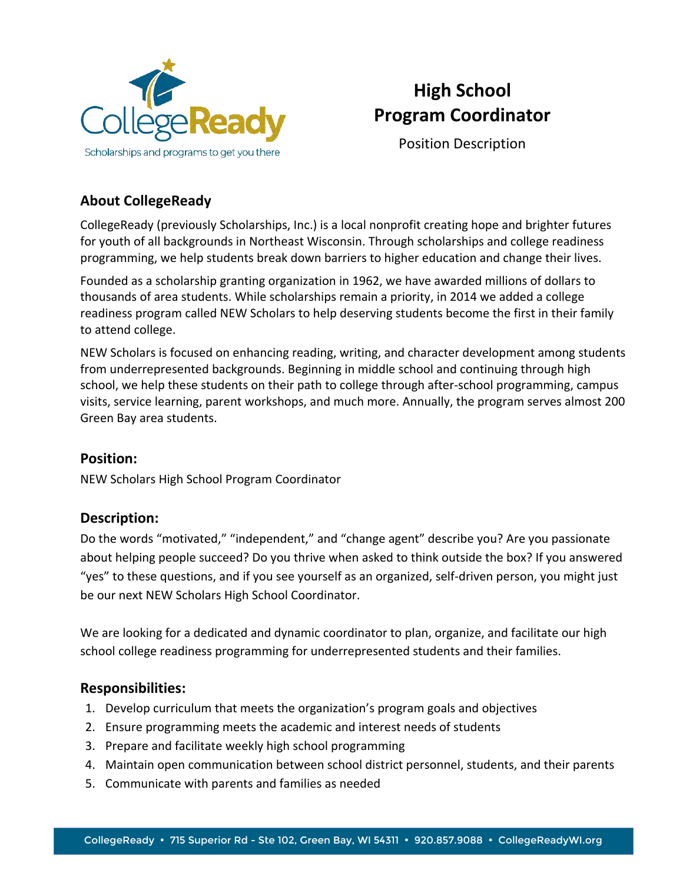

# **High School Program Coordinator**

Position Description

## **About CollegeReady**

CollegeReady (previously Scholarships, Inc.) is a local nonprofit creating hope and brighter futures for youth of all backgrounds in Northeast Wisconsin. Through scholarships and college readiness programming, we help students break down barriers to higher education and change their lives.

Founded as a scholarship granting organization in 1962, we have awarded millions of dollars to thousands of area students. While scholarships remain a priority, in 2014 we added a college readiness program called NEW Scholars to help deserving students become the first in their family to attend college.

NEW Scholars is focused on enhancing reading, writing, and character development among students from underrepresented backgrounds. Beginning in middle school and continuing through high school, we help these students on their path to college through after-school programming, campus visits, service learning, parent workshops, and much more. Annually, the program serves almost 200 Green Bay area students.

#### **Position:**

NEW Scholars High School Program Coordinator

## **Description:**

Do the words "motivated," "independent," and "change agent" describe you? Are you passionate about helping people succeed? Do you thrive when asked to think outside the box? If you answered "yes" to these questions, and if you see yourself as an organized, self-driven person, you might just be our next NEW Scholars High School Coordinator.

We are looking for a dedicated and dynamic coordinator to plan, organize, and facilitate our high school college readiness programming for underrepresented students and their families.

#### **Responsibilities:**

- 1. Develop curriculum that meets the organization's program goals and objectives
- 2. Ensure programming meets the academic and interest needs of students
- 3. Prepare and facilitate weekly high school programming
- 4. Maintain open communication between school district personnel, students, and their parents
- 5. Communicate with parents and families as needed